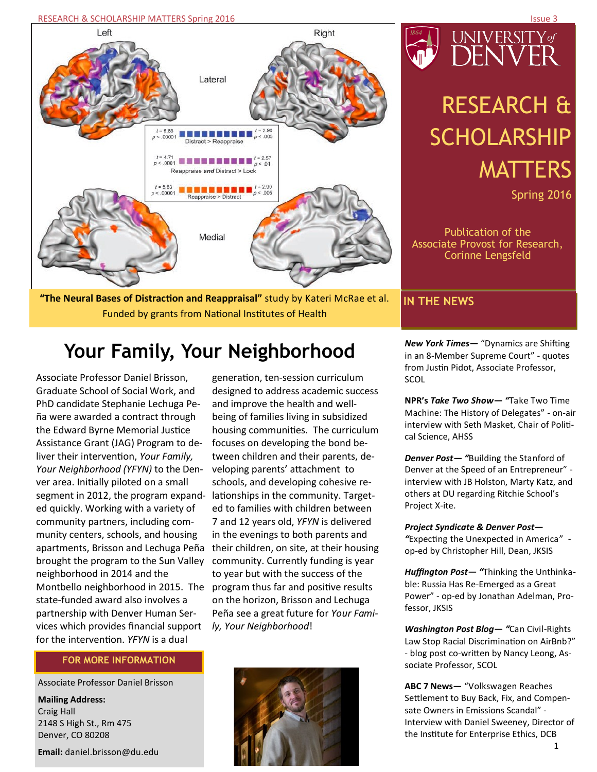RESEARCH & SCHOLARSHIP MATTERS Spring 2016 **ISSUE 3 Access 1999 ISSUE 3 Access 1999** Issue 3



**"The Neural Bases of Distraction and Reappraisal"** study by Kateri McRae et al. Funded by grants from National Institutes of Health

# UNIVERSITY%<br>DENVER

# RESEARCH & **SCHOLARSHIP** MATTERS

Spring 2016

Publication of the Associate Provost for Research, Corinne Lengsfeld

# **IN THE NEWS**

# **Your Family, Your Neighborhood** *New York Times* - "Dynamics are Shifting

Associate Professor Daniel Brisson, Graduate School of Social Work, and PhD candidate Stephanie Lechuga Peña were awarded a contract through the Edward Byrne Memorial Justice Assistance Grant (JAG) Program to deliver their intervention, *Your Family, Your Neighborhood (YFYN)* to the Denver area. Initially piloted on a small segment in 2012, the program expanded quickly. Working with a variety of community partners, including community centers, schools, and housing apartments, Brisson and Lechuga Peña brought the program to the Sun Valley neighborhood in 2014 and the Montbello neighborhood in 2015. The state-funded award also involves a partnership with Denver Human Services which provides financial support for the intervention. *YFYN* is a dual

# **FOR MORE INFORMATION**

Associate Professor Daniel Brisson

**Mailing Address:**  Craig Hall 2148 S High St., Rm 475 Denver, CO 80208

**Email:** daniel.brisson@du.edu

generation, ten-session curriculum designed to address academic success and improve the health and wellbeing of families living in subsidized housing communities. The curriculum focuses on developing the bond between children and their parents, developing parents' attachment to schools, and developing cohesive relationships in the community. Targeted to families with children between 7 and 12 years old, *YFYN* is delivered in the evenings to both parents and their children, on site, at their housing community. Currently funding is year to year but with the success of the program thus far and positive results on the horizon, Brisson and Lechuga Peña see a great future for *Your Family, Your Neighborhood*!



in an 8-Member Supreme Court" - quotes from Justin Pidot, Associate Professor, SCOL

**NPR's** *Take Two Show— "*Take Two Time Machine: The History of Delegates" - on-air interview with Seth Masket, Chair of Political Science, AHSS

*Denver Post— "*Building the Stanford of Denver at the Speed of an Entrepreneur" interview with JB Holston, Marty Katz, and others at DU regarding Ritchie School's Project X-ite.

*Project Syndicate & Denver Post—*

*"*Expecting the Unexpected in America" op-ed by Christopher Hill, Dean, JKSIS

*Huffington Post— "*Thinking the Unthinkable: Russia Has Re-Emerged as a Great Power" - op-ed by Jonathan Adelman, Professor, JKSIS

*Washington Post Blog— "*Can Civil-Rights Law Stop Racial Discrimination on AirBnb?" - blog post co-written by Nancy Leong, Associate Professor, SCOL

**ABC 7 News—** "Volkswagen Reaches Settlement to Buy Back, Fix, and Compensate Owners in Emissions Scandal" - Interview with Daniel Sweeney, Director of the Institute for Enterprise Ethics, DCB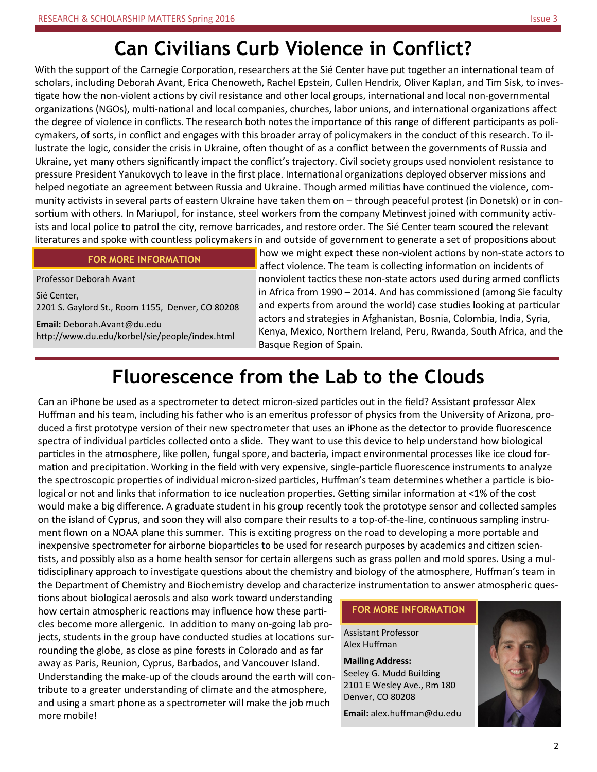# **Can Civilians Curb Violence in Conflict?**

With the support of the Carnegie Corporation, researchers at the Sié Center have put together an international team of scholars, including Deborah Avant, Erica Chenoweth, Rachel Epstein, Cullen Hendrix, Oliver Kaplan, and Tim Sisk, to investigate how the non-violent actions by civil resistance and other local groups, international and local non-governmental organizations (NGOs), multi-national and local companies, churches, labor unions, and international organizations affect the degree of violence in conflicts. The research both notes the importance of this range of different participants as policymakers, of sorts, in conflict and engages with this broader array of policymakers in the conduct of this research. To illustrate the logic, consider the crisis in Ukraine, often thought of as a conflict between the governments of Russia and Ukraine, yet many others significantly impact the conflict's trajectory. Civil society groups used nonviolent resistance to pressure President Yanukovych to leave in the first place. International organizations deployed observer missions and helped negotiate an agreement between Russia and Ukraine. Though armed militias have continued the violence, community activists in several parts of eastern Ukraine have taken them on – through peaceful protest (in Donetsk) or in consortium with others. In Mariupol, for instance, steel workers from the company Metinvest joined with community activists and local police to patrol the city, remove barricades, and restore order. The Sié Center team scoured the relevant literatures and spoke with countless policymakers in and outside of government to generate a set of propositions about

# **FOR MORE INFORMATION**

Professor Deborah Avant Sié Center, 2201 S. Gaylord St., Room 1155, Denver, CO 80208 **Email:** Deborah.Avant@du.edu http://www.du.edu/korbel/sie/people/index.html

how we might expect these non-violent actions by non-state actors to affect violence. The team is collecting information on incidents of nonviolent tactics these non-state actors used during armed conflicts in Africa from 1990 – 2014. And has commissioned (among Sie faculty and experts from around the world) case studies looking at particular actors and strategies in Afghanistan, Bosnia, Colombia, India, Syria, Kenya, Mexico, Northern Ireland, Peru, Rwanda, South Africa, and the Basque Region of Spain.

# **Fluorescence from the Lab to the Clouds**

Can an iPhone be used as a spectrometer to detect micron-sized particles out in the field? Assistant professor Alex Huffman and his team, including his father who is an emeritus professor of physics from the University of Arizona, produced a first prototype version of their new spectrometer that uses an iPhone as the detector to provide fluorescence spectra of individual particles collected onto a slide. They want to use this device to help understand how biological particles in the atmosphere, like pollen, fungal spore, and bacteria, impact environmental processes like ice cloud formation and precipitation. Working in the field with very expensive, single-particle fluorescence instruments to analyze the spectroscopic properties of individual micron-sized particles, Huffman's team determines whether a particle is biological or not and links that information to ice nucleation properties. Getting similar information at <1% of the cost would make a big difference. A graduate student in his group recently took the prototype sensor and collected samples on the island of Cyprus, and soon they will also compare their results to a top-of-the-line, continuous sampling instrument flown on a NOAA plane this summer. This is exciting progress on the road to developing a more portable and inexpensive spectrometer for airborne bioparticles to be used for research purposes by academics and citizen scientists, and possibly also as a home health sensor for certain allergens such as grass pollen and mold spores. Using a multidisciplinary approach to investigate questions about the chemistry and biology of the atmosphere, Huffman's team in the Department of Chemistry and Biochemistry develop and characterize instrumentation to answer atmospheric ques-

tions about biological aerosols and also work toward understanding how certain atmospheric reactions may influence how these particles become more allergenic. In addition to many on-going lab projects, students in the group have conducted studies at locations surrounding the globe, as close as pine forests in Colorado and as far away as Paris, Reunion, Cyprus, Barbados, and Vancouver Island. Understanding the make-up of the clouds around the earth will contribute to a greater understanding of climate and the atmosphere, and using a smart phone as a spectrometer will make the job much more mobile!

## **FOR MORE INFORMATION**

Assistant Professor Alex Huffman

**Mailing Address:** Seeley G. Mudd Building 2101 E Wesley Ave., Rm 180 Denver, CO 80208

**Email:** alex.huffman@du.edu

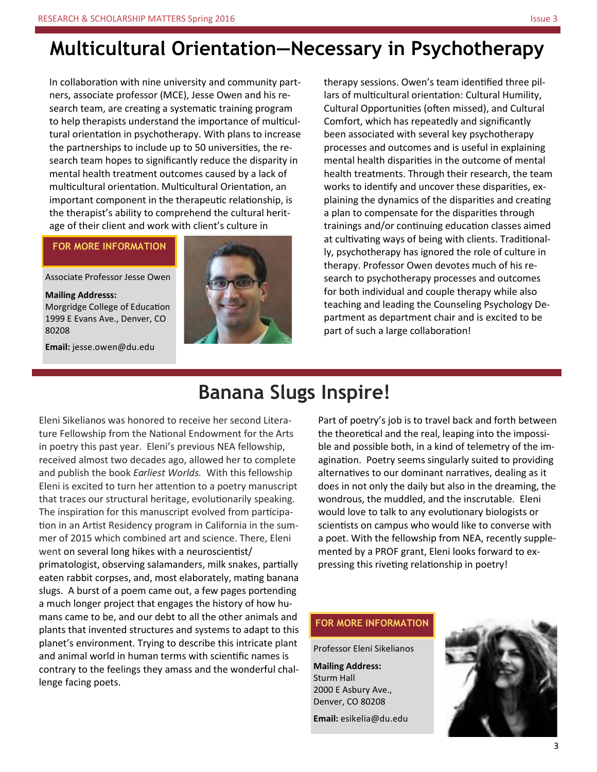In collaboration with nine university and community partners, associate professor (MCE), Jesse Owen and his research team, are creating a systematic training program to help therapists understand the importance of multicultural orientation in psychotherapy. With plans to increase the partnerships to include up to 50 universities, the research team hopes to significantly reduce the disparity in mental health treatment outcomes caused by a lack of multicultural orientation. Multicultural Orientation, an important component in the therapeutic relationship, is the therapist's ability to comprehend the cultural heritage of their client and work with client's culture in

# **FOR MORE INFORMATION**

Associate Professor Jesse Owen

**Mailing Addresss:**

Morgridge College of Education 1999 E Evans Ave., Denver, CO 80208

**Email:** jesse.owen@du.edu



therapy sessions. Owen's team identified three pillars of multicultural orientation: Cultural Humility, Cultural Opportunities (often missed), and Cultural Comfort, which has repeatedly and significantly been associated with several key psychotherapy processes and outcomes and is useful in explaining mental health disparities in the outcome of mental health treatments. Through their research, the team works to identify and uncover these disparities, explaining the dynamics of the disparities and creating a plan to compensate for the disparities through trainings and/or continuing education classes aimed at cultivating ways of being with clients. Traditionally, psychotherapy has ignored the role of culture in therapy. Professor Owen devotes much of his research to psychotherapy processes and outcomes for both individual and couple therapy while also teaching and leading the Counseling Psychology Department as department chair and is excited to be part of such a large collaboration!

# **Banana Slugs Inspire!**

Eleni Sikelianos was honored to receive her second Literature Fellowship from the National Endowment for the Arts in poetry this past year. Eleni's previous NEA fellowship, received almost two decades ago, allowed her to complete and publish the book *Earliest Worlds.* With this fellowship Eleni is excited to turn her attention to a poetry manuscript that traces our structural heritage, evolutionarily speaking. The inspiration for this manuscript evolved from participation in an Artist Residency program in California in the summer of 2015 which combined art and science. There, Eleni went on several long hikes with a neuroscientist/ primatologist, observing salamanders, milk snakes, partially eaten rabbit corpses, and, most elaborately, mating banana slugs. A burst of a poem came out, a few pages portending a much longer project that engages the history of how humans came to be, and our debt to all the other animals and plants that invented structures and systems to adapt to this planet's environment. Trying to describe this intricate plant and animal world in human terms with scientific names is contrary to the feelings they amass and the wonderful challenge facing poets.

Part of poetry's job is to travel back and forth between the theoretical and the real, leaping into the impossible and possible both, in a kind of telemetry of the imagination. Poetry seems singularly suited to providing alternatives to our dominant narratives, dealing as it does in not only the daily but also in the dreaming, the wondrous, the muddled, and the inscrutable. Eleni would love to talk to any evolutionary biologists or scientists on campus who would like to converse with a poet. With the fellowship from NEA, recently supplemented by a PROF grant, Eleni looks forward to expressing this riveting relationship in poetry!

# **FOR MORE INFORMATION**

Professor Eleni Sikelianos

**Mailing Address:** Sturm Hall 2000 E Asbury Ave., Denver, CO 80208

**Email:** esikelia@du.edu

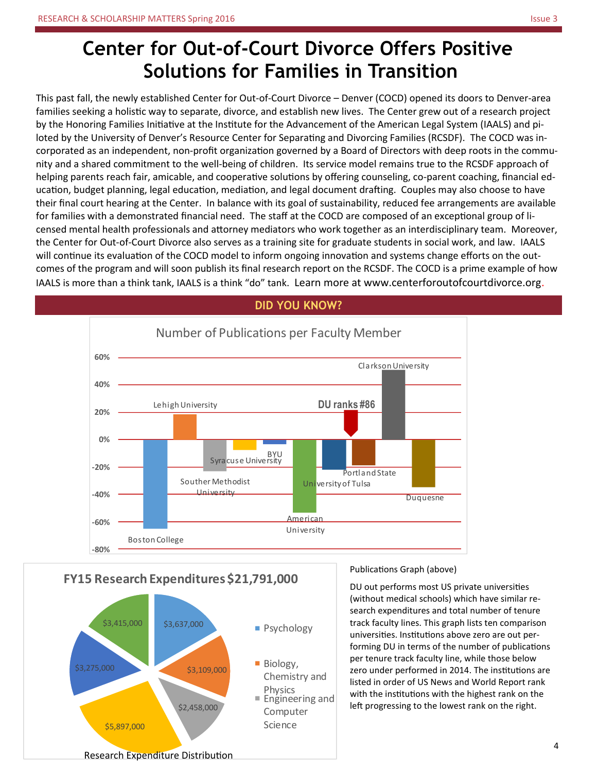# **Center for Out-of-Court Divorce Offers Positive Solutions for Families in Transition**

This past fall, the newly established Center for Out-of-Court Divorce – Denver (COCD) opened its doors to Denver-area families seeking a holistic way to separate, divorce, and establish new lives. The Center grew out of a research project by the Honoring Families Initiative at the Institute for the Advancement of the American Legal System (IAALS) and piloted by the University of Denver's Resource Center for Separating and Divorcing Families (RCSDF). The COCD was incorporated as an independent, non-profit organization governed by a Board of Directors with deep roots in the community and a shared commitment to the well-being of children. Its service model remains true to the RCSDF approach of helping parents reach fair, amicable, and cooperative solutions by offering counseling, co-parent coaching, financial education, budget planning, legal education, mediation, and legal document drafting. Couples may also choose to have their final court hearing at the Center. In balance with its goal of sustainability, reduced fee arrangements are available for families with a demonstrated financial need. The staff at the COCD are composed of an exceptional group of licensed mental health professionals and attorney mediators who work together as an interdisciplinary team. Moreover, the Center for Out-of-Court Divorce also serves as a training site for graduate students in social work, and law. IAALS will continue its evaluation of the COCD model to inform ongoing innovation and systems change efforts on the outcomes of the program and will soon publish its final research report on the RCSDF. The COCD is a prime example of how IAALS is more than a think tank, IAALS is a think "do" tank. Learn more at www.centerforoutofcourtdivorce.org.



# **FY15 Research Expenditures \$21,791,000**



Publications Graph (above)

DU out performs most US private universities (without medical schools) which have similar research expenditures and total number of tenure track faculty lines. This graph lists ten comparison universities. Institutions above zero are out performing DU in terms of the number of publications per tenure track faculty line, while those below zero under performed in 2014. The institutions are listed in order of US News and World Report rank with the institutions with the highest rank on the left progressing to the lowest rank on the right.